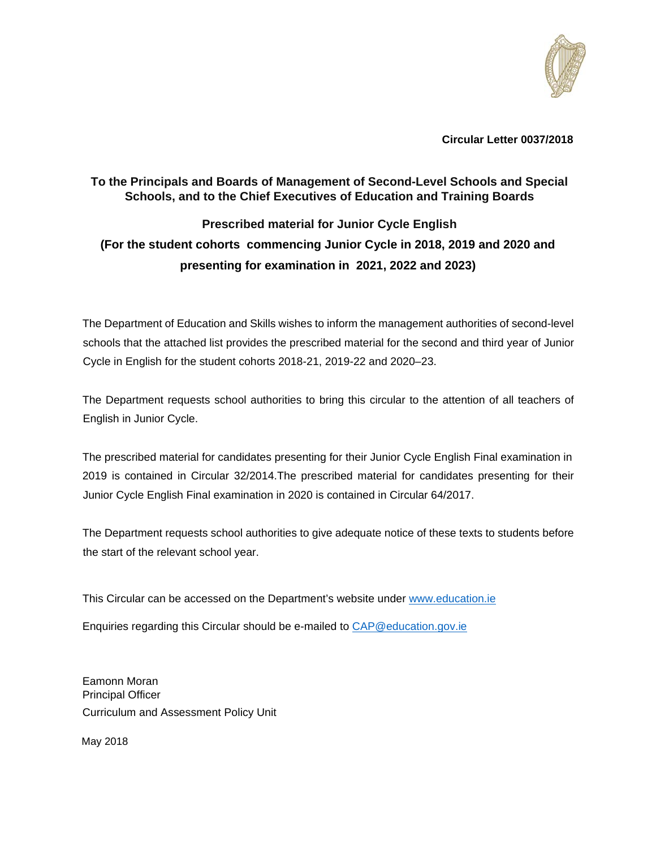

**Circular Letter 0037/2018** 

## **To the Principals and Boards of Management of Second-Level Schools and Special Schools, and to the Chief Executives of Education and Training Boards**

# **Prescribed material for Junior Cycle English (For the student cohorts commencing Junior Cycle in 2018, 2019 and 2020 and presenting for examination in 2021, 2022 and 2023)**

The Department of Education and Skills wishes to inform the management authorities of second-level schools that the attached list provides the prescribed material for the second and third year of Junior Cycle in English for the student cohorts 2018-21, 2019-22 and 2020–23.

The Department requests school authorities to bring this circular to the attention of all teachers of English in Junior Cycle.

The prescribed material for candidates presenting for their Junior Cycle English Final examination in 2019 is contained in Circular 32/2014.The prescribed material for candidates presenting for their Junior Cycle English Final examination in 2020 is contained in Circular 64/2017.

The Department requests school authorities to give adequate notice of these texts to students before the start of the relevant school year.

This Circular can be accessed on the Department's website under www.education.ie

Enquiries regarding this Circular should be e-mailed to CAP@education.gov.ie

Eamonn Moran Principal Officer Curriculum and Assessment Policy Unit

May 2018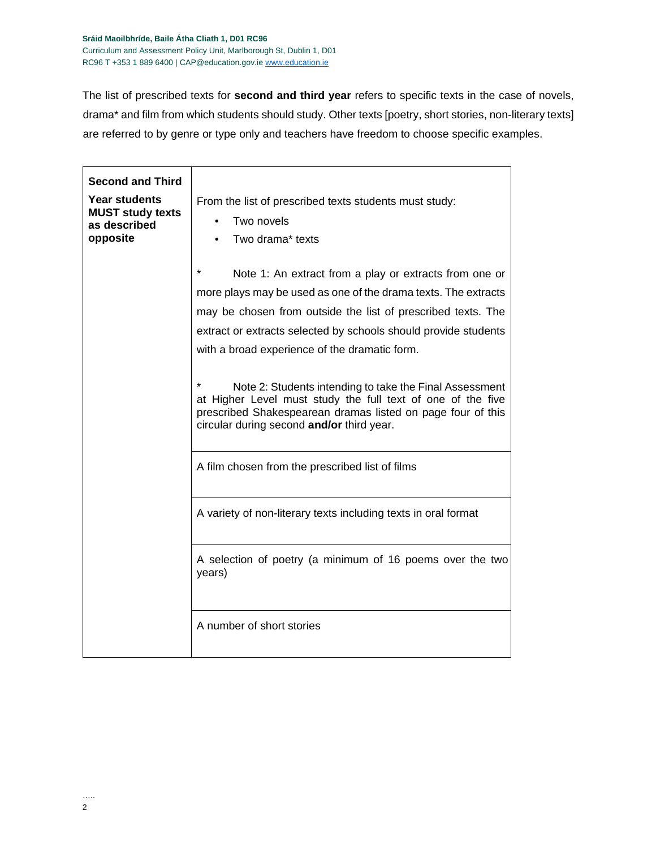The list of prescribed texts for **second and third year** refers to specific texts in the case of novels, drama\* and film from which students should study. Other texts [poetry, short stories, non-literary texts] are referred to by genre or type only and teachers have freedom to choose specific examples.

| <b>Second and Third</b><br><b>Year students</b><br><b>MUST study texts</b><br>as described<br>opposite | From the list of prescribed texts students must study:<br>Two novels<br>Two drama* texts                                                                                                                                                                                                                                                                                                                                                                                                                                                                      |
|--------------------------------------------------------------------------------------------------------|---------------------------------------------------------------------------------------------------------------------------------------------------------------------------------------------------------------------------------------------------------------------------------------------------------------------------------------------------------------------------------------------------------------------------------------------------------------------------------------------------------------------------------------------------------------|
|                                                                                                        | $\star$<br>Note 1: An extract from a play or extracts from one or<br>more plays may be used as one of the drama texts. The extracts<br>may be chosen from outside the list of prescribed texts. The<br>extract or extracts selected by schools should provide students<br>with a broad experience of the dramatic form.<br>Note 2: Students intending to take the Final Assessment<br>at Higher Level must study the full text of one of the five<br>prescribed Shakespearean dramas listed on page four of this<br>circular during second and/or third year. |
|                                                                                                        | A film chosen from the prescribed list of films                                                                                                                                                                                                                                                                                                                                                                                                                                                                                                               |
|                                                                                                        | A variety of non-literary texts including texts in oral format                                                                                                                                                                                                                                                                                                                                                                                                                                                                                                |
|                                                                                                        | A selection of poetry (a minimum of 16 poems over the two<br>years)                                                                                                                                                                                                                                                                                                                                                                                                                                                                                           |
|                                                                                                        | A number of short stories                                                                                                                                                                                                                                                                                                                                                                                                                                                                                                                                     |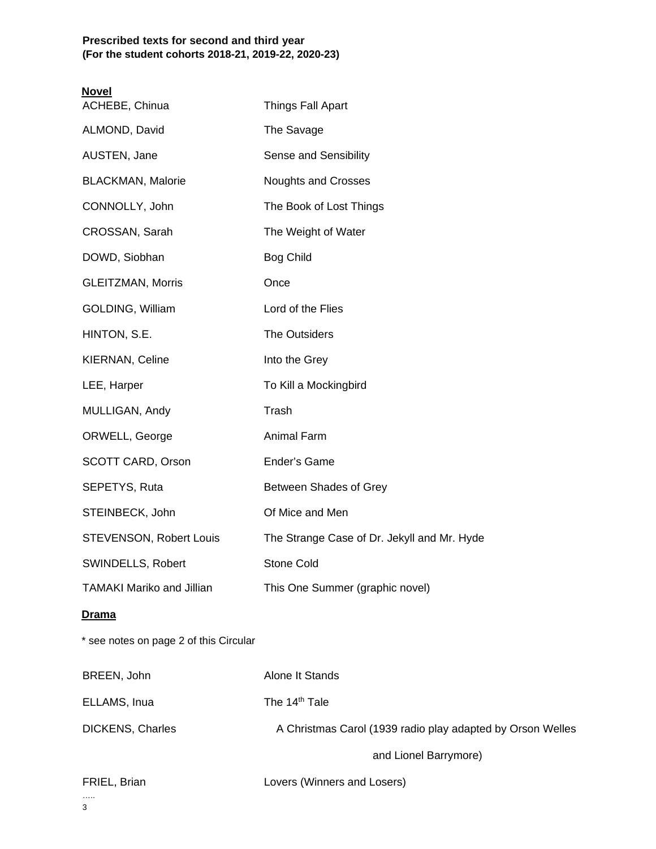### **Prescribed texts for second and third year (For the student cohorts 2018-21, 2019-22, 2020-23)**

| <b>Novel</b><br>ACHEBE, Chinua         | <b>Things Fall Apart</b>                                   |
|----------------------------------------|------------------------------------------------------------|
| ALMOND, David                          | The Savage                                                 |
| AUSTEN, Jane                           | Sense and Sensibility                                      |
| <b>BLACKMAN, Malorie</b>               | <b>Noughts and Crosses</b>                                 |
| CONNOLLY, John                         | The Book of Lost Things                                    |
| CROSSAN, Sarah                         | The Weight of Water                                        |
| DOWD, Siobhan                          | <b>Bog Child</b>                                           |
| <b>GLEITZMAN, Morris</b>               | Once                                                       |
| GOLDING, William                       | Lord of the Flies                                          |
| HINTON, S.E.                           | The Outsiders                                              |
| KIERNAN, Celine                        | Into the Grey                                              |
| LEE, Harper                            | To Kill a Mockingbird                                      |
| MULLIGAN, Andy                         | Trash                                                      |
| ORWELL, George                         | <b>Animal Farm</b>                                         |
| SCOTT CARD, Orson                      | Ender's Game                                               |
| SEPETYS, Ruta                          | Between Shades of Grey                                     |
| STEINBECK, John                        | Of Mice and Men                                            |
| STEVENSON, Robert Louis                | The Strange Case of Dr. Jekyll and Mr. Hyde                |
| SWINDELLS, Robert                      | <b>Stone Cold</b>                                          |
| <b>TAMAKI Mariko and Jillian</b>       | This One Summer (graphic novel)                            |
| <b>Drama</b>                           |                                                            |
| * see notes on page 2 of this Circular |                                                            |
| BREEN, John                            | Alone It Stands                                            |
| ELLAMS, Inua                           | The 14 <sup>th</sup> Tale                                  |
| <b>DICKENS, Charles</b>                | A Christmas Carol (1939 radio play adapted by Orson Welles |
|                                        | and Lionel Barrymore)                                      |
| FRIEL, Brian                           | Lovers (Winners and Losers)                                |
|                                        |                                                            |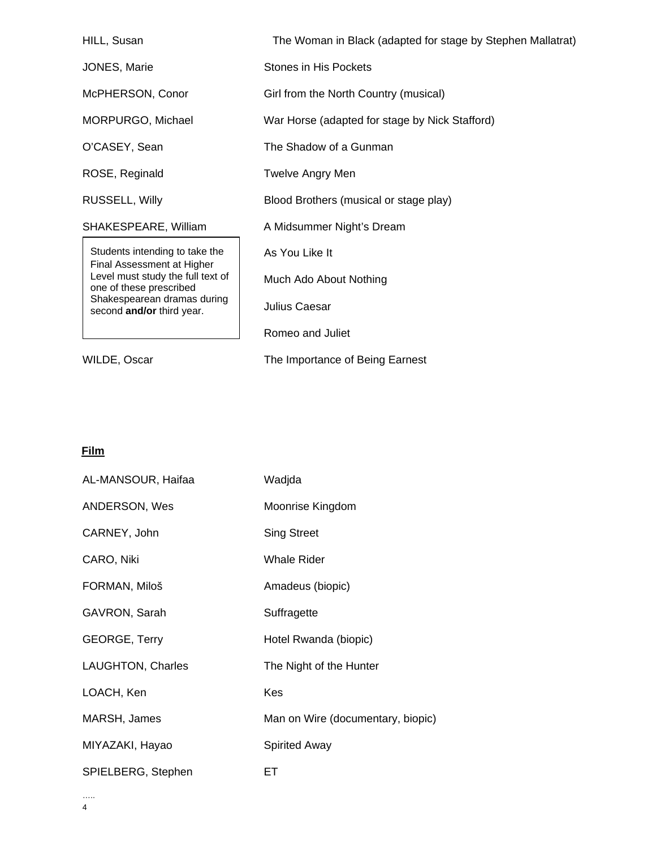| HILL, Susan                                                  | The Woman in Black (adapted for stage by Stephen Mallatrat) |  |
|--------------------------------------------------------------|-------------------------------------------------------------|--|
| <b>JONES, Marie</b>                                          | Stones in His Pockets                                       |  |
| McPHERSON, Conor                                             | Girl from the North Country (musical)                       |  |
| MORPURGO, Michael                                            | War Horse (adapted for stage by Nick Stafford)              |  |
| O'CASEY, Sean                                                | The Shadow of a Gunman                                      |  |
| ROSE, Reginald                                               | Twelve Angry Men                                            |  |
| RUSSELL, Willy                                               | Blood Brothers (musical or stage play)                      |  |
| SHAKESPEARE, William                                         | A Midsummer Night's Dream                                   |  |
| Students intending to take the<br>Final Assessment at Higher | As You Like It                                              |  |
| Level must study the full text of<br>one of these prescribed | Much Ado About Nothing                                      |  |
| Shakespearean dramas during<br>second and/or third year.     | Julius Caesar                                               |  |
|                                                              | Romeo and Juliet                                            |  |
| WILDE, Oscar                                                 | The Importance of Being Earnest                             |  |

### **Film**

| AL-MANSOUR, Haifaa   | Wadjda                            |
|----------------------|-----------------------------------|
| ANDERSON, Wes        | Moonrise Kingdom                  |
| CARNEY, John         | <b>Sing Street</b>                |
| CARO, Niki           | <b>Whale Rider</b>                |
| FORMAN, Miloš        | Amadeus (biopic)                  |
| GAVRON, Sarah        | Suffragette                       |
| <b>GEORGE, Terry</b> | Hotel Rwanda (biopic)             |
| LAUGHTON, Charles    | The Night of the Hunter           |
| LOACH, Ken           | Kes                               |
| MARSH, James         | Man on Wire (documentary, biopic) |
| MIYAZAKI, Hayao      | <b>Spirited Away</b>              |
| SPIELBERG, Stephen   | EТ                                |